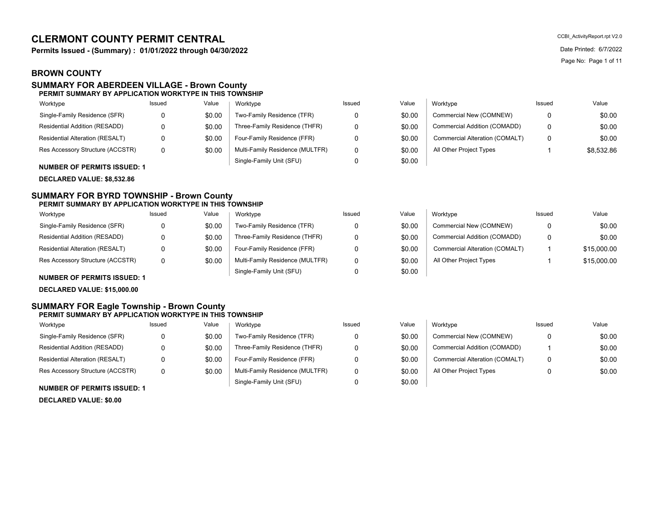# **CLERMONT COUNTY PERMIT CENTRAL**

**Permits Issued - (Summary) : 01/01/2022 through 04/30/2022** Date Printed: 6/7/2022

## **BROWN COUNTY**

#### **SUMMARY FOR ABERDEEN VILLAGE - Brown County PERMIT SUMMARY BY APPLICATION WORKTYPE IN THIS TOWNSHIP**

#### Two-Family Residence (TFR) Worktype Single-Family Residence (SFR) Worktype 0 \$0.00

| \$0.00 | Three-Family Residence (THFR)   |
|--------|---------------------------------|
| \$0.00 | Four-Family Residence (FFR)     |
| \$0.00 | Multi-Family Residence (MULTFR) |
|        | Single-Family Unit (SFU)        |

**NUMBER OF PERMITS ISSUED: 1**

**DECLARED VALUE: \$8,532.86**

Res Accessory Structure (ACCSTR) Residential Alteration (RESALT)

Residential Addition (RESADD)

#### **SUMMARY FOR BYRD TOWNSHIP - Brown County PERMIT SUMMARY BY APPLICATION WORKTYPE IN THIS TOWNSHIP**

| Worktype                         | Issued       | Value  | Worktype                        | Issued | Value  | Worktype                       | Issued | Value       |
|----------------------------------|--------------|--------|---------------------------------|--------|--------|--------------------------------|--------|-------------|
| Single-Family Residence (SFR)    | n            | \$0.00 | Two-Family Residence (TFR)      |        | \$0.00 | Commercial New (COMNEW)        |        | \$0.00      |
| Residential Addition (RESADD)    | <sup>n</sup> | \$0.00 | Three-Family Residence (THFR)   |        | \$0.00 | Commercial Addition (COMADD)   |        | \$0.00      |
| Residential Alteration (RESALT)  | n            | \$0.00 | Four-Family Residence (FFR)     |        | \$0.00 | Commercial Alteration (COMALT) |        | \$15,000.00 |
| Res Accessory Structure (ACCSTR) | 0            | \$0.00 | Multi-Family Residence (MULTFR) |        | \$0.00 | All Other Project Types        |        | \$15,000.00 |
|                                  |              |        | Single-Family Unit (SFU)        |        | \$0.00 |                                |        |             |

**NUMBER OF PERMITS ISSUED: 1**

**DECLARED VALUE: \$15,000.00**

### **SUMMARY FOR Eagle Township - Brown County PERMIT SUMMARY BY APPLICATION WORKTYPE IN THIS TOWNSHIP**

| Worktype                           | Issued | Value  | Worktype                        | Issued | Value  | Worktype                       | Issued | Value  |
|------------------------------------|--------|--------|---------------------------------|--------|--------|--------------------------------|--------|--------|
| Single-Family Residence (SFR)      |        | \$0.00 | Two-Family Residence (TFR)      |        | \$0.00 | Commercial New (COMNEW)        |        | \$0.00 |
| Residential Addition (RESADD)      |        | \$0.00 | Three-Family Residence (THFR)   |        | \$0.00 | Commercial Addition (COMADD)   |        | \$0.00 |
| Residential Alteration (RESALT)    |        | \$0.00 | Four-Family Residence (FFR)     |        | \$0.00 | Commercial Alteration (COMALT) | 0      | \$0.00 |
| Res Accessory Structure (ACCSTR)   |        | \$0.00 | Multi-Family Residence (MULTFR) |        | \$0.00 | All Other Project Types        |        | \$0.00 |
| <b>NUMBER OF BEBMITS ISSUED, 4</b> |        |        | Single-Family Unit (SFU)        |        | \$0.00 |                                |        |        |

#### **NUMBER OF PERMITS ISSUED: 1**

**DECLARED VALUE: \$0.00**

CCBI\_ActivityReport.rpt V2.0 Page No: Page 1 of 11

| Issued | Value  | Worktype                        | Issued | Value  | Worktvpe                       | Issued | Value      |
|--------|--------|---------------------------------|--------|--------|--------------------------------|--------|------------|
|        | \$0.00 | Two-Family Residence (TFR)      |        | \$0.00 | Commercial New (COMNEW)        |        | \$0.00     |
|        | \$0.00 | Three-Family Residence (THFR)   |        | \$0.00 | Commercial Addition (COMADD)   |        | \$0.00     |
|        | \$0.00 | Four-Family Residence (FFR)     |        | \$0.00 | Commercial Alteration (COMALT) |        | \$0.00     |
|        | \$0.00 | Multi-Family Residence (MULTFR) |        | \$0.00 | All Other Project Types        |        | \$8,532.86 |
|        |        | Single-Family Unit (SFU)        |        | \$0.00 |                                |        |            |

| lue  | Worktype                       | Issued | Value       |
|------|--------------------------------|--------|-------------|
| 0.00 | Commercial New (COMNEW)        | 0      | \$0.00      |
| 00.( | Commercial Addition (COMADD)   | O      | \$0.00      |
| 0.00 | Commercial Alteration (COMALT) | 1      | \$15,000.00 |
| 0.00 | All Other Project Types        | 1      | \$15,000.00 |
| ነ በበ |                                |        |             |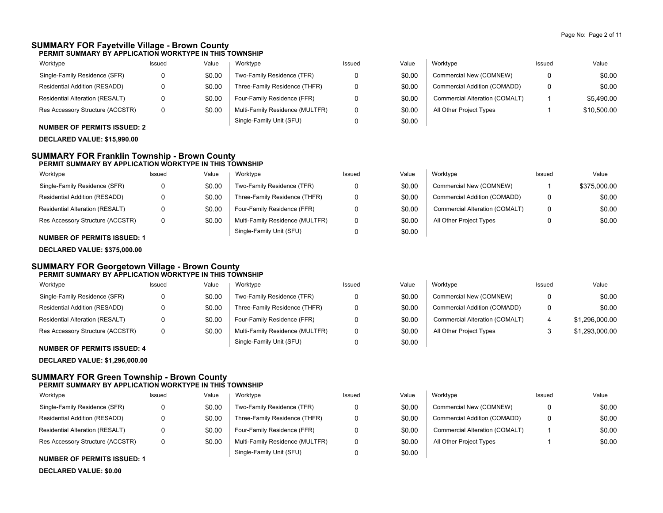\$0.00 \$0.00

\$1,296,000.00 \$1,293,000.00

### **SUMMARY FOR Fayetville Village - Brown County PERMIT SUMMARY BY APPLICATION WORKTYPE IN THIS TOWNSHIP**

| Worktype                         | Issued | Value  | Worktype                        | Issued | Value  | Worktvpe                       | Issued | Value       |
|----------------------------------|--------|--------|---------------------------------|--------|--------|--------------------------------|--------|-------------|
| Single-Family Residence (SFR)    |        | \$0.00 | Two-Family Residence (TFR)      |        | \$0.00 | Commercial New (COMNEW)        |        | \$0.00      |
| Residential Addition (RESADD)    |        | \$0.00 | Three-Family Residence (THFR)   |        | \$0.00 | Commercial Addition (COMADD)   |        | \$0.00      |
| Residential Alteration (RESALT)  |        | \$0.00 | Four-Family Residence (FFR)     |        | \$0.00 | Commercial Alteration (COMALT) |        | \$5,490.00  |
| Res Accessory Structure (ACCSTR) |        | \$0.00 | Multi-Family Residence (MULTFR) |        | \$0.00 | All Other Project Types        |        | \$10,500.00 |
|                                  |        |        | Single-Family Unit (SFU)        |        | \$0.00 |                                |        |             |

**NUMBER OF PERMITS ISSUED: 2**

### **DECLARED VALUE: \$15,990.00**

### **SUMMARY FOR Franklin Township - Brown County PERMIT SUMMARY BY APPLICATION WORKTYPE IN THIS TOWNSHIP**

| Worktype                         | Issued | Value  | Worktype                        | Issued | Value  | Worktype                       | Issued | Value        |
|----------------------------------|--------|--------|---------------------------------|--------|--------|--------------------------------|--------|--------------|
| Single-Family Residence (SFR)    |        | \$0.00 | Two-Family Residence (TFR)      |        | \$0.00 | Commercial New (COMNEW)        |        | \$375,000.00 |
| Residential Addition (RESADD)    |        | \$0.00 | Three-Family Residence (THFR)   |        | \$0.00 | Commercial Addition (COMADD)   |        | \$0.00       |
| Residential Alteration (RESALT)  |        | \$0.00 | Four-Family Residence (FFR)     |        | \$0.00 | Commercial Alteration (COMALT) |        | \$0.00       |
| Res Accessory Structure (ACCSTR) |        | \$0.00 | Multi-Family Residence (MULTFR) |        | \$0.00 | All Other Project Types        |        | \$0.00       |
|                                  |        |        | Single-Family Unit (SFU)        |        | \$0.00 |                                |        |              |

**NUMBER OF PERMITS ISSUED: 1 DECLARED VALUE: \$375,000.00**

### **SUMMARY FOR Georgetown Village - Brown County PERMIT SUMMARY BY APPLICATION WORKTYPE IN THIS TOWNSHIP**

| Worktype                                                                                                                                                                                                                                                                                                                      | Issued | Value  | Worktype                        | Issued | Value  | Worktvpe                       | Issued | Value       |
|-------------------------------------------------------------------------------------------------------------------------------------------------------------------------------------------------------------------------------------------------------------------------------------------------------------------------------|--------|--------|---------------------------------|--------|--------|--------------------------------|--------|-------------|
| Single-Family Residence (SFR)                                                                                                                                                                                                                                                                                                 |        | \$0.00 | Two-Family Residence (TFR)      | 0      | \$0.00 | Commercial New (COMNEW)        |        | \$0         |
| Residential Addition (RESADD)                                                                                                                                                                                                                                                                                                 |        | \$0.00 | Three-Family Residence (THFR)   | 0      | \$0.00 | Commercial Addition (COMADD)   | n      | \$0         |
| Residential Alteration (RESALT)                                                                                                                                                                                                                                                                                               |        | \$0.00 | Four-Family Residence (FFR)     | 0      | \$0.00 | Commercial Alteration (COMALT) |        | \$1.296.000 |
| Res Accessory Structure (ACCSTR)                                                                                                                                                                                                                                                                                              |        | \$0.00 | Multi-Family Residence (MULTFR) | 0      | \$0.00 | All Other Project Types        |        | \$1,293,000 |
| $\ddotsc$ $\ddotsc$ $\ddotsc$ $\ddotsc$ $\ddotsc$ $\ddotsc$ $\ddotsc$ $\ddotsc$ $\ddotsc$ $\ddotsc$ $\ddotsc$ $\ddotsc$ $\ddotsc$ $\ddotsc$ $\ddotsc$ $\ddotsc$ $\ddotsc$ $\ddotsc$ $\ddotsc$ $\ddotsc$ $\ddotsc$ $\ddotsc$ $\ddotsc$ $\ddotsc$ $\ddotsc$ $\ddotsc$ $\ddotsc$ $\ddotsc$ $\ddotsc$ $\ddotsc$ $\ddotsc$ $\ddot$ |        |        | Single-Family Unit (SFU)        |        | \$0.00 |                                |        |             |

**NUMBER OF PERMITS ISSUED: 4**

**DECLARED VALUE: \$1,296,000.00**

### **SUMMARY FOR Green Township - Brown County PERMIT SUMMARY BY APPLICATION WORKTYPE IN THIS TOWNSHIP**

| Worktype                         | Issued | Value  | Worktype                        | Issued | Value  | Worktype                       | Issued | Value  |
|----------------------------------|--------|--------|---------------------------------|--------|--------|--------------------------------|--------|--------|
| Single-Family Residence (SFR)    |        | \$0.00 | Two-Family Residence (TFR)      |        | \$0.00 | Commercial New (COMNEW)        |        | \$0.00 |
| Residential Addition (RESADD)    |        | \$0.00 | Three-Family Residence (THFR)   |        | \$0.00 | Commercial Addition (COMADD)   |        | \$0.00 |
| Residential Alteration (RESALT)  |        | \$0.00 | Four-Family Residence (FFR)     |        | \$0.00 | Commercial Alteration (COMALT) |        | \$0.00 |
| Res Accessory Structure (ACCSTR) | 0      | \$0.00 | Multi-Family Residence (MULTFR) |        | \$0.00 | All Other Project Types        |        | \$0.00 |
|                                  |        |        | Single-Family Unit (SFU)        |        | \$0.00 |                                |        |        |

### **NUMBER OF PERMITS ISSUED: 1**

**DECLARED VALUE: \$0.00**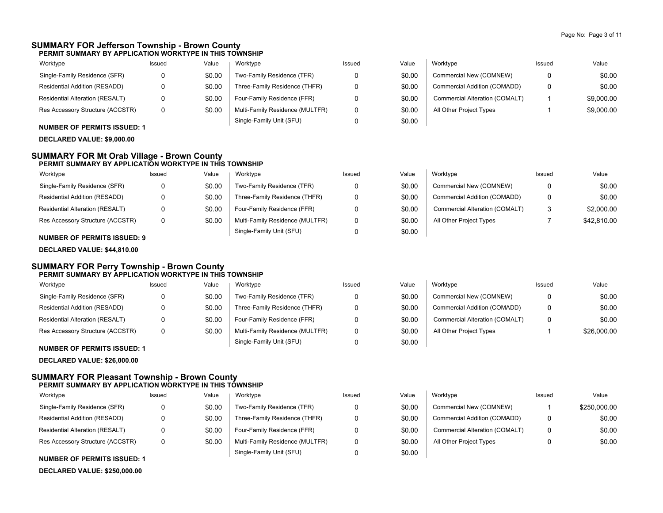### **SUMMARY FOR Jefferson Township - Brown County PERMIT SUMMARY BY APPLICATION WORKTYPE IN THIS TOWNSHIP**

| Worktype                                         | Issued | Value  | Worktype                        | Issued | Value  | Worktype                       | <b>Issued</b> | Value      |
|--------------------------------------------------|--------|--------|---------------------------------|--------|--------|--------------------------------|---------------|------------|
| Single-Family Residence (SFR)                    |        | \$0.00 | Two-Family Residence (TFR)      |        | \$0.00 | Commercial New (COMNEW)        |               | \$0.00     |
| Residential Addition (RESADD)                    |        | \$0.00 | Three-Family Residence (THFR)   |        | \$0.00 | Commercial Addition (COMADD)   |               | \$0.00     |
| Residential Alteration (RESALT)                  |        | \$0.00 | Four-Family Residence (FFR)     |        | \$0.00 | Commercial Alteration (COMALT) |               | \$9,000.00 |
| Res Accessory Structure (ACCSTR)                 |        | \$0.00 | Multi-Family Residence (MULTFR) |        | \$0.00 | All Other Project Types        |               | \$9,000.00 |
| $\ddotsc$ . The second of $\ddotsc$ of $\ddotsc$ |        |        | Single-Family Unit (SFU)        |        | \$0.00 |                                |               |            |

### **NUMBER OF PERMITS ISSUED: 1**

**DECLARED VALUE: \$9,000.00**

#### **SUMMARY FOR Mt Orab Village - Brown County PERMIT SUMMARY BY APPLICATION WORKTYPE IN THIS TOWNSHIP**

| Worktype                               | Issued | Value  | Worktype                        | Issued | Value  | Worktype                       | Issued | Value       |
|----------------------------------------|--------|--------|---------------------------------|--------|--------|--------------------------------|--------|-------------|
| Single-Family Residence (SFR)          |        | \$0.00 | Two-Family Residence (TFR)      |        | \$0.00 | Commercial New (COMNEW)        | 0      | \$0.00      |
| Residential Addition (RESADD)          |        | \$0.00 | Three-Family Residence (THFR)   |        | \$0.00 | Commercial Addition (COMADD)   | 0      | \$0.00      |
| <b>Residential Alteration (RESALT)</b> |        | \$0.00 | Four-Family Residence (FFR)     |        | \$0.00 | Commercial Alteration (COMALT) | 3      | \$2,000.00  |
| Res Accessory Structure (ACCSTR)       |        | \$0.00 | Multi-Family Residence (MULTFR) |        | \$0.00 | All Other Project Types        |        | \$42,810.00 |
|                                        |        |        | Single-Family Unit (SFU)        |        | \$0.00 |                                |        |             |

### **NUMBER OF PERMITS ISSUED: 9**

### **DECLARED VALUE: \$44,810.00**

### **SUMMARY FOR Perry Township - Brown County PERMIT SUMMARY BY APPLICATION WORKTYPE IN THIS TOWNSHIP**

| Worktype                         | Issued | Value  | Worktype                        | Issued | Value  | Worktype                       | Issued | Value       |
|----------------------------------|--------|--------|---------------------------------|--------|--------|--------------------------------|--------|-------------|
| Single-Family Residence (SFR)    |        | \$0.00 | Two-Family Residence (TFR)      |        | \$0.00 | Commercial New (COMNEW)        |        | \$0.00      |
| Residential Addition (RESADD)    |        | \$0.00 | Three-Family Residence (THFR)   |        | \$0.00 | Commercial Addition (COMADD)   |        | \$0.00      |
| Residential Alteration (RESALT)  |        | \$0.00 | Four-Family Residence (FFR)     |        | \$0.00 | Commercial Alteration (COMALT) |        | \$0.00      |
| Res Accessory Structure (ACCSTR) |        | \$0.00 | Multi-Family Residence (MULTFR) |        | \$0.00 | All Other Project Types        |        | \$26,000.00 |
| $\mathbf{u}$                     |        |        | Single-Family Unit (SFU)        |        | \$0.00 |                                |        |             |

### **NUMBER OF PERMITS ISSUED: 1**

**DECLARED VALUE: \$26,000.00**

### **SUMMARY FOR Pleasant Township - Brown County PERMIT SUMMARY BY APPLICATION WORKTYPE IN THIS TOWNSHIP**

| Worktype                                         | Issued | Value  | Worktvpe                        | Issued | Value  | Worktype                       | Issued | Value        |
|--------------------------------------------------|--------|--------|---------------------------------|--------|--------|--------------------------------|--------|--------------|
| Single-Family Residence (SFR)                    | 0      | \$0.00 | Two-Family Residence (TFR)      |        | \$0.00 | Commercial New (COMNEW)        |        | \$250,000.00 |
| Residential Addition (RESADD)                    | 0      | \$0.00 | Three-Family Residence (THFR)   |        | \$0.00 | Commercial Addition (COMADD)   |        | \$0.00       |
| <b>Residential Alteration (RESALT)</b>           | 0      | \$0.00 | Four-Family Residence (FFR)     |        | \$0.00 | Commercial Alteration (COMALT) |        | \$0.00       |
| Res Accessory Structure (ACCSTR)                 | 0      | \$0.00 | Multi-Family Residence (MULTFR) |        | \$0.00 | All Other Project Types        |        | \$0.00       |
| $\ddotsc$ . The second of $\ddotsc$ of $\ddotsc$ |        |        | Single-Family Unit (SFU)        |        | \$0.00 |                                |        |              |

# **NUMBER OF PERMITS ISSUED: 1**

**DECLARED VALUE: \$250,000.00**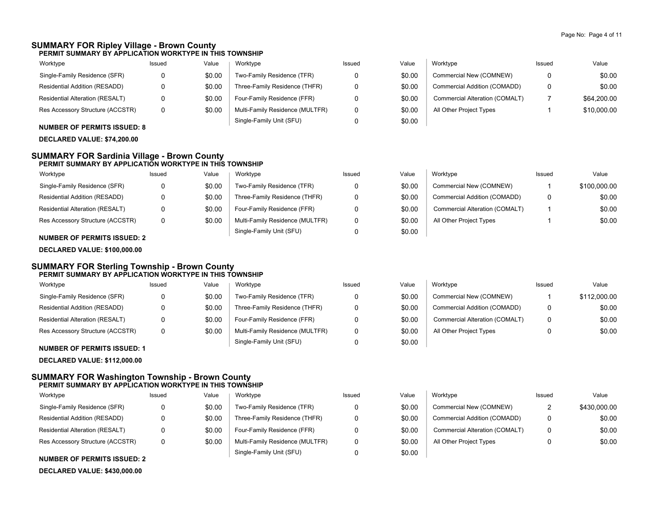\$112,000.00 \$0.00 \$0.00 \$0.00

### **SUMMARY FOR Ripley Village - Brown County PERMIT SUMMARY BY APPLICATION WORKTYPE IN THIS TOWNSHIP**

| Worktype                                                                                  | Issued | Value  | Worktype                        | Issued | Value  | Worktype                       | Issued | Value       |
|-------------------------------------------------------------------------------------------|--------|--------|---------------------------------|--------|--------|--------------------------------|--------|-------------|
| Single-Family Residence (SFR)                                                             |        | \$0.00 | Two-Family Residence (TFR)      |        | \$0.00 | Commercial New (COMNEW)        |        | \$0.00      |
| Residential Addition (RESADD)                                                             |        | \$0.00 | Three-Family Residence (THFR)   |        | \$0.00 | Commercial Addition (COMADD)   |        | \$0.00      |
| Residential Alteration (RESALT)                                                           |        | \$0.00 | Four-Family Residence (FFR)     |        | \$0.00 | Commercial Alteration (COMALT) |        | \$64,200.00 |
| Res Accessory Structure (ACCSTR)                                                          |        | \$0.00 | Multi-Family Residence (MULTFR) |        | \$0.00 | All Other Project Types        |        | \$10,000.00 |
| $\ddotsc$ $\ddotsc$ $\ddotsc$ $\ddotsc$ $\ddotsc$ $\ddotsc$ $\ddotsc$ $\ddotsc$ $\ddotsc$ |        |        | Single-Family Unit (SFU)        |        | \$0.00 |                                |        |             |

**NUMBER OF PERMITS ISSUED: 8**

### **DECLARED VALUE: \$74,200.00**

#### **SUMMARY FOR Sardinia Village - Brown County PERMIT SUMMARY BY APPLICATION WORKTYPE IN THIS TOWNSHIP**

| Worktype                         | Issued | Value  | Worktype                        | Issued | Value  | Worktype                       | Issued | Value        |
|----------------------------------|--------|--------|---------------------------------|--------|--------|--------------------------------|--------|--------------|
| Single-Family Residence (SFR)    |        | \$0.00 | Two-Family Residence (TFR)      |        | \$0.00 | Commercial New (COMNEW)        |        | \$100,000.00 |
| Residential Addition (RESADD)    |        | \$0.00 | Three-Family Residence (THFR)   |        | \$0.00 | Commercial Addition (COMADD)   |        | \$0.00       |
| Residential Alteration (RESALT)  |        | \$0.00 | Four-Family Residence (FFR)     |        | \$0.00 | Commercial Alteration (COMALT) |        | \$0.00       |
| Res Accessory Structure (ACCSTR) |        | \$0.00 | Multi-Family Residence (MULTFR) |        | \$0.00 | All Other Project Types        |        | \$0.00       |
|                                  |        |        | Single-Family Unit (SFU)        |        | \$0.00 |                                |        |              |

**NUMBER OF PERMITS ISSUED: 2**

# **DECLARED VALUE: \$100,000.00**

#### **SUMMARY FOR Sterling Township - Brown County PERMIT SUMMARY BY APPLICATION WORKTYPE IN THIS TOWNSHIP**

| Worktype                             | Issued | Value  | Worktype                        | Issued | Value  | Worktype                       | Issued | Value     |
|--------------------------------------|--------|--------|---------------------------------|--------|--------|--------------------------------|--------|-----------|
| Single-Family Residence (SFR)        |        | \$0.00 | Two-Family Residence (TFR)      |        | \$0.00 | Commercial New (COMNEW)        |        | \$112,000 |
| <b>Residential Addition (RESADD)</b> |        | \$0.00 | Three-Family Residence (THFR)   |        | \$0.00 | Commercial Addition (COMADD)   |        | \$0       |
| Residential Alteration (RESALT)      |        | \$0.00 | Four-Family Residence (FFR)     |        | \$0.00 | Commercial Alteration (COMALT) |        | \$0       |
| Res Accessory Structure (ACCSTR)     | 0      | \$0.00 | Multi-Family Residence (MULTFR) |        | \$0.00 | All Other Project Types        |        | \$0       |
|                                      |        |        | Single-Family Unit (SFU)        |        | \$0.00 |                                |        |           |

**NUMBER OF PERMITS ISSUED: 1**

**DECLARED VALUE: \$112,000.00**

### **SUMMARY FOR Washington Township - Brown County PERMIT SUMMARY BY APPLICATION WORKTYPE IN THIS TOWNSHIP**

| Worktype                               | Issued | Value  | Worktype                        | Issued | Value  | Worktype                       | Issued | Value        |
|----------------------------------------|--------|--------|---------------------------------|--------|--------|--------------------------------|--------|--------------|
| Single-Family Residence (SFR)          | 0      | \$0.00 | Two-Family Residence (TFR)      |        | \$0.00 | Commercial New (COMNEW)        | _      | \$430,000.00 |
| Residential Addition (RESADD)          | 0      | \$0.00 | Three-Family Residence (THFR)   |        | \$0.00 | Commercial Addition (COMADD)   |        | \$0.00       |
| <b>Residential Alteration (RESALT)</b> | 0      | \$0.00 | Four-Family Residence (FFR)     |        | \$0.00 | Commercial Alteration (COMALT) | 0      | \$0.00       |
| Res Accessory Structure (ACCSTR)       | 0      | \$0.00 | Multi-Family Residence (MULTFR) |        | \$0.00 | All Other Project Types        |        | \$0.00       |
|                                        |        |        | Single-Family Unit (SFU)        |        | \$0.00 |                                |        |              |

### **NUMBER OF PERMITS ISSUED: 2**

**DECLARED VALUE: \$430,000.00**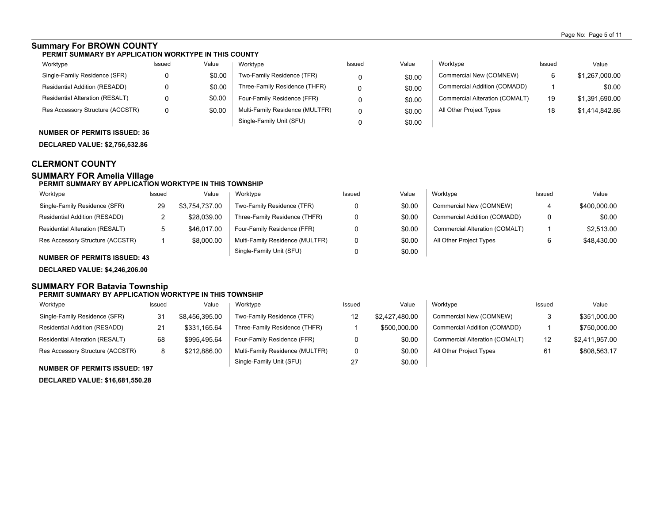## **Summary For BROWN COUNTY**

#### **PERMIT SUMMARY BY APPLICATION WORKTYPE IN THIS COUNTY**

| Worktype                               | Issued | Value  | Worktype                        | Issued | Value  | Worktype                       | Issued | Value          |
|----------------------------------------|--------|--------|---------------------------------|--------|--------|--------------------------------|--------|----------------|
| Single-Family Residence (SFR)          |        | \$0.00 | Two-Family Residence (TFR)      |        | \$0.00 | Commercial New (COMNEW)        |        | \$1,267,000.00 |
| Residential Addition (RESADD)          |        | \$0.00 | Three-Family Residence (THFR)   |        | \$0.00 | Commercial Addition (COMADD)   |        | \$0.00         |
| <b>Residential Alteration (RESALT)</b> |        | \$0.00 | Four-Family Residence (FFR)     |        | \$0.00 | Commercial Alteration (COMALT) | 19     | \$1,391,690.00 |
| Res Accessory Structure (ACCSTR)       |        | \$0.00 | Multi-Family Residence (MULTFR) |        | \$0.00 | All Other Project Types        | 18     | \$1,414,842.86 |
|                                        |        |        | Single-Family Unit (SFU)        |        | \$0.00 |                                |        |                |

### **NUMBER OF PERMITS ISSUED: 36**

**DECLARED VALUE: \$2,756,532.86**

## **CLERMONT COUNTY**

### **SUMMARY FOR Amelia Village**

### **PERMIT SUMMARY BY APPLICATION WORKTYPE IN THIS TOWNSHIP**

| Worktype                         | Issued | Value          | Worktype                        | Issued | Value  | Worktvpe                       | Issued | Value        |
|----------------------------------|--------|----------------|---------------------------------|--------|--------|--------------------------------|--------|--------------|
| Single-Family Residence (SFR)    | 29     | \$3.754.737.00 | Two-Family Residence (TFR)      |        | \$0.00 | Commercial New (COMNEW)        | 4      | \$400,000.00 |
| Residential Addition (RESADD)    |        | \$28.039.00    | Three-Family Residence (THFR)   |        | \$0.00 | Commercial Addition (COMADD)   |        | \$0.00       |
| Residential Alteration (RESALT)  | ັ      | \$46.017.00    | Four-Family Residence (FFR)     |        | \$0.00 | Commercial Alteration (COMALT) |        | \$2.513.00   |
| Res Accessory Structure (ACCSTR) |        | \$8,000.00     | Multi-Family Residence (MULTFR) |        | \$0.00 | All Other Project Types        |        | \$48.430.00  |
|                                  |        |                | Single-Family Unit (SFU)        |        | \$0.00 |                                |        |              |

### **NUMBER OF PERMITS ISSUED: 43**

**DECLARED VALUE: \$4,246,206.00**

#### **SUMMARY FOR Batavia Township PERMIT SUMMARY BY APPLICATION WORKTYPE IN THIS TOWNSHIP**

| Worktype                               | Issued | Value          | Worktype                        | Issued | Value          | Worktype                       | Issued | Value          |
|----------------------------------------|--------|----------------|---------------------------------|--------|----------------|--------------------------------|--------|----------------|
| Single-Family Residence (SFR)          | 31     | \$8,456,395.00 | Two-Family Residence (TFR)      | 12     | \$2,427,480.00 | Commercial New (COMNEW)        | د      | \$351,000.00   |
| Residential Addition (RESADD)          | 21     | \$331,165.64   | Three-Family Residence (THFR)   |        | \$500,000.00   | Commercial Addition (COMADD)   |        | \$750,000.00   |
| <b>Residential Alteration (RESALT)</b> | 68     | \$995.495.64   | Four-Family Residence (FFR)     |        | \$0.00         | Commercial Alteration (COMALT) | 12     | \$2,411,957.00 |
| Res Accessory Structure (ACCSTR)       |        | \$212,886.00   | Multi-Family Residence (MULTFR) |        | \$0.00         | All Other Project Types        | 61     | \$808,563.17   |
|                                        |        |                | Single-Family Unit (SFU)        | 27     | \$0.00         |                                |        |                |

### **NUMBER OF PERMITS ISSUED: 197**

**DECLARED VALUE: \$16,681,550.28**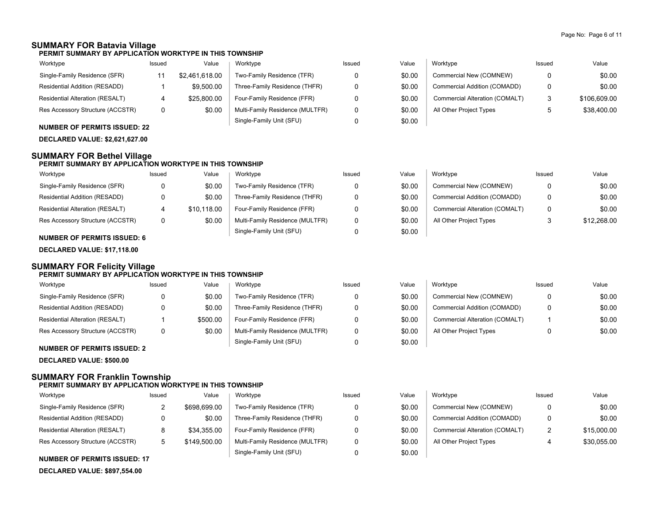\$0.00 \$0.00 \$0.00 \$0.00

# **SUMMARY FOR Batavia Village**

**PERMIT SUMMARY BY APPLICATION WORKTYPE IN THIS TOWNSHIP**

| Worktype                         | Issued | Value          | Worktype                        | Issued | Value  | Worktype                       | Issued | Value        |
|----------------------------------|--------|----------------|---------------------------------|--------|--------|--------------------------------|--------|--------------|
| Single-Family Residence (SFR)    |        | \$2.461.618.00 | Two-Family Residence (TFR)      |        | \$0.00 | Commercial New (COMNEW)        |        | \$0.00       |
| Residential Addition (RESADD)    |        | \$9.500.00     | Three-Family Residence (THFR)   |        | \$0.00 | Commercial Addition (COMADD)   |        | \$0.00       |
| Residential Alteration (RESALT)  |        | \$25,800.00    | Four-Family Residence (FFR)     |        | \$0.00 | Commercial Alteration (COMALT) | 2      | \$106,609.00 |
| Res Accessory Structure (ACCSTR) |        | \$0.00         | Multi-Family Residence (MULTFR) |        | \$0.00 | All Other Project Types        | ∽      | \$38,400.00  |
|                                  |        |                | Single-Family Unit (SFU)        |        | \$0.00 |                                |        |              |

### **NUMBER OF PERMITS ISSUED: 22**

**DECLARED VALUE: \$2,621,627.00**

### **SUMMARY FOR Bethel Village**

### **PERMIT SUMMARY BY APPLICATION WORKTYPE IN THIS TOWNSHIP**

| Worktype                         | Issued | Value       | Worktype                        | Issued | Value  | Worktype                       | Issued | Value       |
|----------------------------------|--------|-------------|---------------------------------|--------|--------|--------------------------------|--------|-------------|
| Single-Family Residence (SFR)    |        | \$0.00      | Two-Family Residence (TFR)      |        | \$0.00 | Commercial New (COMNEW)        |        | \$0.00      |
| Residential Addition (RESADD)    |        | \$0.00      | Three-Family Residence (THFR)   |        | \$0.00 | Commercial Addition (COMADD)   |        | \$0.00      |
| Residential Alteration (RESALT)  |        | \$10.118.00 | Four-Family Residence (FFR)     |        | \$0.00 | Commercial Alteration (COMALT) |        | \$0.00      |
| Res Accessory Structure (ACCSTR) |        | \$0.00      | Multi-Family Residence (MULTFR) |        | \$0.00 | All Other Project Types        |        | \$12,268.00 |
|                                  |        |             | Single-Family Unit (SFU)        |        | \$0.00 |                                |        |             |

### **NUMBER OF PERMITS ISSUED: 6**

**DECLARED VALUE: \$17,118.00**

### **SUMMARY FOR Felicity Village PERMIT SUMMARY BY APPLICATION WORKTYPE IN THIS TOWNSHIP**

| Worktype                         | Issued | Value    | Worktype                        | Issued | Value  | Worktype                       | Issued | Value |
|----------------------------------|--------|----------|---------------------------------|--------|--------|--------------------------------|--------|-------|
| Single-Family Residence (SFR)    |        | \$0.00   | Two-Family Residence (TFR)      | 0      | \$0.00 | Commercial New (COMNEW)        |        | \$0   |
| Residential Addition (RESADD)    |        | \$0.00   | Three-Family Residence (THFR)   | 0      | \$0.00 | Commercial Addition (COMADD)   | o      | \$0   |
| Residential Alteration (RESALT)  |        | \$500.00 | Four-Family Residence (FFR)     |        | \$0.00 | Commercial Alteration (COMALT) |        | \$0   |
| Res Accessory Structure (ACCSTR) |        | \$0.00   | Multi-Family Residence (MULTFR) | 0      | \$0.00 | All Other Project Types        |        | \$0   |
| NUMBER OF BERMITO ICCUER. 0      |        |          | Single-Family Unit (SFU)        |        | \$0.00 |                                |        |       |

### **NUMBER OF PERMITS ISSUED: 2**

**DECLARED VALUE: \$500.00**

### **SUMMARY FOR Franklin Township**

### **PERMIT SUMMARY BY APPLICATION WORKTYPE IN THIS TOWNSHIP**

| Worktype                         | Issued | Value        | Worktype                        | Issued | Value  | Worktype                       | Issued        | Value       |
|----------------------------------|--------|--------------|---------------------------------|--------|--------|--------------------------------|---------------|-------------|
| Single-Family Residence (SFR)    |        | \$698,699.00 | Two-Family Residence (TFR)      |        | \$0.00 | Commercial New (COMNEW)        |               | \$0.00      |
| Residential Addition (RESADD)    |        | \$0.00       | Three-Family Residence (THFR)   |        | \$0.00 | Commercial Addition (COMADD)   | 0             | \$0.00      |
| Residential Alteration (RESALT)  |        | \$34.355.00  | Four-Family Residence (FFR)     |        | \$0.00 | Commercial Alteration (COMALT) | $\mathcal{P}$ | \$15,000.00 |
| Res Accessory Structure (ACCSTR) |        | \$149,500.00 | Multi-Family Residence (MULTFR) |        | \$0.00 | All Other Project Types        |               | \$30.055.00 |
|                                  |        |              | Single-Family Unit (SFU)        |        | \$0.00 |                                |               |             |

### **NUMBER OF PERMITS ISSUED: 17**

**DECLARED VALUE: \$897,554.00**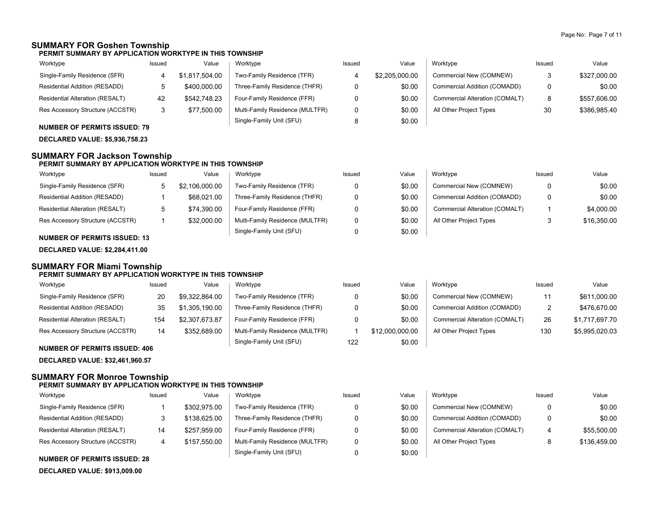### **SUMMARY FOR Goshen Township**

**PERMIT SUMMARY BY APPLICATION WORKTYPE IN THIS TOWNSHIP**

| Worktype                         | Issued | Value          | Worktype                        | Issued | Value          | Worktype                       | Issued | Value        |
|----------------------------------|--------|----------------|---------------------------------|--------|----------------|--------------------------------|--------|--------------|
| Single-Family Residence (SFR)    |        | \$1,817,504.00 | Two-Family Residence (TFR)      |        | \$2,205,000.00 | Commercial New (COMNEW)        |        | \$327,000.00 |
| Residential Addition (RESADD)    |        | \$400,000.00   | Three-Family Residence (THFR)   |        | \$0.00         | Commercial Addition (COMADD)   | 0      | \$0.00       |
| Residential Alteration (RESALT)  | 42     | \$542.748.23   | Four-Family Residence (FFR)     |        | \$0.00         | Commercial Alteration (COMALT) | 8      | \$557,606.00 |
| Res Accessory Structure (ACCSTR) | د      | \$77.500.00    | Multi-Family Residence (MULTFR) |        | \$0.00         | All Other Project Types        | 30     | \$386,985.40 |
|                                  |        |                | Single-Family Unit (SFU)        |        | \$0.00         |                                |        |              |

**NUMBER OF PERMITS ISSUED: 79 DECLARED VALUE: \$5,936,758.23**

# **SUMMARY FOR Jackson Township**

### **PERMIT SUMMARY BY APPLICATION WORKTYPE IN THIS TOWNSHIP**

| Worktype                         | Issued | Value          | Worktype                        | Issued | Value  | Worktype                       | Issued | Value       |
|----------------------------------|--------|----------------|---------------------------------|--------|--------|--------------------------------|--------|-------------|
| Single-Family Residence (SFR)    |        | \$2.106.000.00 | Two-Family Residence (TFR)      |        | \$0.00 | Commercial New (COMNEW)        |        | \$0.00      |
| Residential Addition (RESADD)    |        | \$68.021.00    | Three-Family Residence (THFR)   |        | \$0.00 | Commercial Addition (COMADD)   |        | \$0.00      |
| Residential Alteration (RESALT)  |        | \$74.390.00    | Four-Family Residence (FFR)     |        | \$0.00 | Commercial Alteration (COMALT) |        | \$4,000.00  |
| Res Accessory Structure (ACCSTR) |        | \$32,000.00    | Multi-Family Residence (MULTFR) |        | \$0.00 | All Other Project Types        | J      | \$16,350.00 |
|                                  |        |                | Single-Family Unit (SFU)        |        | \$0.00 |                                |        |             |

### **NUMBER OF PERMITS ISSUED: 13**

**DECLARED VALUE: \$2,284,411.00**

# **SUMMARY FOR Miami Township**

|                                        | PERMIT SUMMARY BY APPLICATION WORKTYPE IN THIS TOWNSHIP |                |                                 |        |                 |                                |               |                |  |  |
|----------------------------------------|---------------------------------------------------------|----------------|---------------------------------|--------|-----------------|--------------------------------|---------------|----------------|--|--|
| Worktype                               | Issued                                                  | Value          | Worktype                        | Issued | Value           | Worktype                       | Issued        | Value          |  |  |
| Single-Family Residence (SFR)          | 20                                                      | \$9.322.864.00 | Two-Family Residence (TFR)      |        | \$0.00          | Commercial New (COMNEW)        | 11            | \$611.000.00   |  |  |
| Residential Addition (RESADD)          | 35                                                      | \$1,305,190.00 | Three-Family Residence (THFR)   |        | \$0.00          | Commercial Addition (COMADD)   | $\mathcal{P}$ | \$476.670.00   |  |  |
| <b>Residential Alteration (RESALT)</b> | 154                                                     | \$2,307,673.87 | Four-Family Residence (FFR)     |        | \$0.00          | Commercial Alteration (COMALT) | 26            | \$1,717,697.70 |  |  |
| Res Accessory Structure (ACCSTR)       | 14                                                      | \$352,689.00   | Multi-Family Residence (MULTFR) |        | \$12.000.000.00 | All Other Project Types        | 130           | \$5,995,020.03 |  |  |
|                                        |                                                         |                | Single-Family Unit (SFU)        | 122    | \$0.00          |                                |               |                |  |  |

### **NUMBER OF PERMITS ISSUED: 406**

**DECLARED VALUE: \$32,461,960.57**

### **SUMMARY FOR Monroe Township**

### **PERMIT SUMMARY BY APPLICATION WORKTYPE IN THIS TOWNSHIP**

| Worktype                             | Issued | Value        | Worktype                        | Issued | Value  | Worktype                       | Issued  | Value        |
|--------------------------------------|--------|--------------|---------------------------------|--------|--------|--------------------------------|---------|--------------|
| Single-Family Residence (SFR)        |        | \$302.975.00 | Two-Family Residence (TFR)      |        | \$0.00 | Commercial New (COMNEW)        | 0       | \$0.00       |
| <b>Residential Addition (RESADD)</b> |        | \$138,625.00 | Three-Family Residence (THFR)   |        | \$0.00 | Commercial Addition (COMADD)   | 0       | \$0.00       |
| Residential Alteration (RESALT)      | 14     | \$257.959.00 | Four-Family Residence (FFR)     |        | \$0.00 | Commercial Alteration (COMALT) | 4       | \$55,500.00  |
| Res Accessory Structure (ACCSTR)     |        | \$157.550.00 | Multi-Family Residence (MULTFR) |        | \$0.00 | All Other Project Types        | $\circ$ | \$136,459.00 |
|                                      |        |              | Single-Family Unit (SFU)        |        | \$0.00 |                                |         |              |

### **NUMBER OF PERMITS ISSUED: 28**

**DECLARED VALUE: \$913,009.00**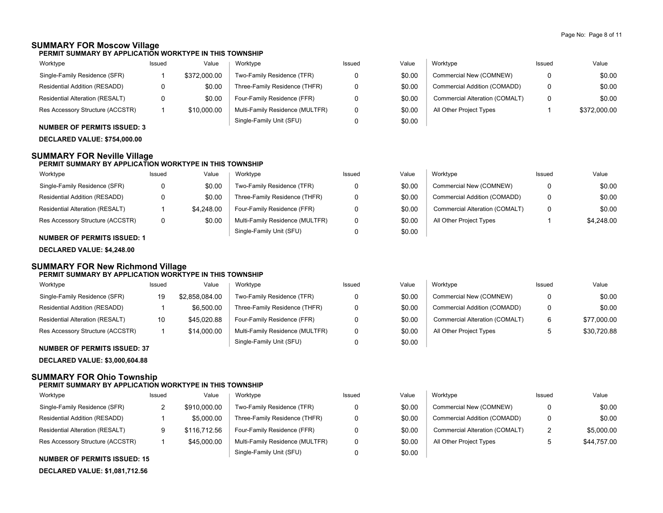### **SUMMARY FOR Moscow Village**

**PERMIT SUMMARY BY APPLICATION WORKTYPE IN THIS TOWNSHIP**

| Worktype                         | Issued | Value        | Worktype                        | Issued | Value  | Worktype                       | Issued   | Value        |
|----------------------------------|--------|--------------|---------------------------------|--------|--------|--------------------------------|----------|--------------|
| Single-Family Residence (SFR)    |        | \$372,000.00 | Two-Family Residence (TFR)      |        | \$0.00 | Commercial New (COMNEW)        | 0        | \$0.00       |
| Residential Addition (RESADD)    |        | \$0.00       | Three-Family Residence (THFR)   |        | \$0.00 | Commercial Addition (COMADD)   | $\Omega$ | \$0.00       |
| Residential Alteration (RESALT)  |        | \$0.00       | Four-Family Residence (FFR)     |        | \$0.00 | Commercial Alteration (COMALT) | 0        | \$0.00       |
| Res Accessory Structure (ACCSTR) |        | \$10,000.00  | Multi-Family Residence (MULTFR) |        | \$0.00 | All Other Project Types        |          | \$372,000.00 |
|                                  |        |              | Single-Family Unit (SFU)        |        | \$0.00 |                                |          |              |

### **NUMBER OF PERMITS ISSUED: 3**

**DECLARED VALUE: \$754,000.00**

### **SUMMARY FOR Neville Village**

### **PERMIT SUMMARY BY APPLICATION WORKTYPE IN THIS TOWNSHIP**

| Worktype                               | Issued | Value      | Worktype                        | Issued | Value  | Worktype                       | Issued | Value      |
|----------------------------------------|--------|------------|---------------------------------|--------|--------|--------------------------------|--------|------------|
| Single-Family Residence (SFR)          |        | \$0.00     | Two-Family Residence (TFR)      |        | \$0.00 | Commercial New (COMNEW)        | 0      | \$0.00     |
| Residential Addition (RESADD)          |        | \$0.00     | Three-Family Residence (THFR)   |        | \$0.00 | Commercial Addition (COMADD)   | 0      | \$0.00     |
| <b>Residential Alteration (RESALT)</b> |        | \$4.248.00 | Four-Family Residence (FFR)     |        | \$0.00 | Commercial Alteration (COMALT) | 0      | \$0.00     |
| Res Accessory Structure (ACCSTR)       |        | \$0.00     | Multi-Family Residence (MULTFR) |        | \$0.00 | All Other Project Types        |        | \$4,248.00 |
|                                        |        |            | Single-Family Unit (SFU)        |        | \$0.00 |                                |        |            |

### **NUMBER OF PERMITS ISSUED: 1**

**DECLARED VALUE: \$4,248.00**

### **SUMMARY FOR New Richmond Village PERMIT SUMMARY BY APPLICATION WORKTYPE IN THIS TOWNSHIP**

| Worktype                         | Issued | Value          | Worktype                        | Issued | Value  | Worktvpe                       | Issued | Value       |
|----------------------------------|--------|----------------|---------------------------------|--------|--------|--------------------------------|--------|-------------|
| Single-Family Residence (SFR)    | 19     | \$2,858,084.00 | Two-Family Residence (TFR)      |        | \$0.00 | Commercial New (COMNEW)        | 0      | \$0.00      |
| Residential Addition (RESADD)    |        | \$6,500.00     | Three-Family Residence (THFR)   | n      | \$0.00 | Commercial Addition (COMADD)   | 0      | \$0.00      |
| Residential Alteration (RESALT)  | 10     | \$45,020.88    | Four-Family Residence (FFR)     |        | \$0.00 | Commercial Alteration (COMALT) | 6      | \$77,000.00 |
| Res Accessory Structure (ACCSTR) |        | \$14,000.00    | Multi-Family Residence (MULTFR) | 0      | \$0.00 | All Other Project Types        |        | \$30.720.88 |
| NUMBER OF BERMITS ISSUED, 27     |        |                | Single-Family Unit (SFU)        |        | \$0.00 |                                |        |             |

### **NUMBER OF PERMITS ISSUED: 37**

**DECLARED VALUE: \$3,000,604.88**

### **SUMMARY FOR Ohio Township**

### **PERMIT SUMMARY BY APPLICATION WORKTYPE IN THIS TOWNSHIP**

| Worktype                               | Issued | Value        | Worktype                        | Issued | Value  | Worktype                       | Issued       | Value       |
|----------------------------------------|--------|--------------|---------------------------------|--------|--------|--------------------------------|--------------|-------------|
| Single-Family Residence (SFR)          |        | \$910,000.00 | Two-Family Residence (TFR)      |        | \$0.00 | Commercial New (COMNEW)        |              | \$0.00      |
| Residential Addition (RESADD)          |        | \$5,000.00   | Three-Family Residence (THFR)   |        | \$0.00 | Commercial Addition (COMADD)   |              | \$0.00      |
| <b>Residential Alteration (RESALT)</b> |        | \$116,712.56 | Four-Family Residence (FFR)     |        | \$0.00 | Commercial Alteration (COMALT) | 2            | \$5,000.00  |
| Res Accessory Structure (ACCSTR)       |        | \$45,000.00  | Multi-Family Residence (MULTFR) |        | \$0.00 | All Other Project Types        | $\mathbf{p}$ | \$44.757.00 |
|                                        |        |              | Single-Family Unit (SFU)        |        | \$0.00 |                                |              |             |

#### **NUMBER OF PERMITS ISSUED: 15**

**DECLARED VALUE: \$1,081,712.56**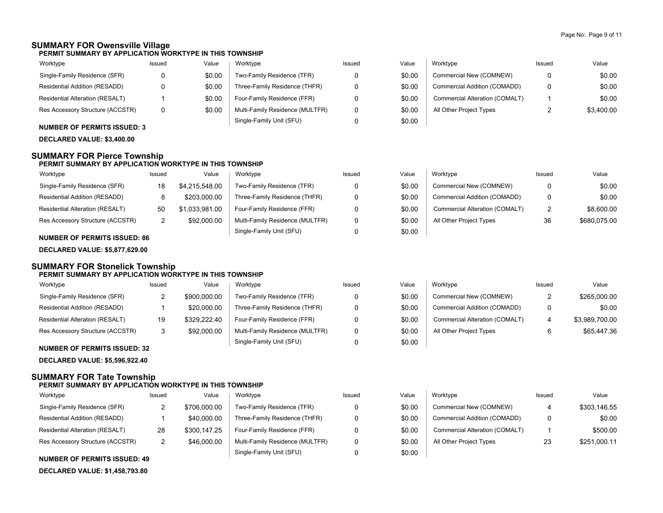### **SUMMARY FOR Owensville Village**

**PERMIT SUMMARY BY APPLICATION WORKTYPE IN THIS TOWNSHIP**

| Worktype                         | Issued | Value  | Worktype                        | Issued | Value  | Worktype                       | Issued | Value      |
|----------------------------------|--------|--------|---------------------------------|--------|--------|--------------------------------|--------|------------|
| Single-Family Residence (SFR)    |        | \$0.00 | Two-Family Residence (TFR)      |        | \$0.00 | Commercial New (COMNEW)        |        | \$0.00     |
| Residential Addition (RESADD)    |        | \$0.00 | Three-Family Residence (THFR)   |        | \$0.00 | Commercial Addition (COMADD)   |        | \$0.00     |
| Residential Alteration (RESALT)  |        | \$0.00 | Four-Family Residence (FFR)     |        | \$0.00 | Commercial Alteration (COMALT) |        | \$0.00     |
| Res Accessory Structure (ACCSTR) |        | \$0.00 | Multi-Family Residence (MULTFR) |        | \$0.00 | All Other Project Types        |        | \$3.400.00 |
|                                  |        |        | Single-Family Unit (SFU)        |        | \$0.00 |                                |        |            |

**NUMBER OF PERMITS ISSUED: 3**

**DECLARED VALUE: \$3,400.00**

### **SUMMARY FOR Pierce Township**

### **PERMIT SUMMARY BY APPLICATION WORKTYPE IN THIS TOWNSHIP**

| Worktype                         | Issued | Value          | Worktype                        | Issued | Value  | Worktype                       | Issued       | Value        |
|----------------------------------|--------|----------------|---------------------------------|--------|--------|--------------------------------|--------------|--------------|
| Single-Family Residence (SFR)    | 18     | \$4.215.548.00 | Two-Family Residence (TFR)      |        | \$0.00 | Commercial New (COMNEW)        |              | \$0.00       |
| Residential Addition (RESADD)    |        | \$203,000.00   | Three-Family Residence (THFR)   |        | \$0.00 | Commercial Addition (COMADD)   | <sub>n</sub> | \$0.00       |
| Residential Alteration (RESALT)  | 50     | \$1.033.981.00 | Four-Family Residence (FFR)     |        | \$0.00 | Commercial Alteration (COMALT) | ົ            | \$8,600.00   |
| Res Accessory Structure (ACCSTR) | _      | \$92,000.00    | Multi-Family Residence (MULTFR) |        | \$0.00 | All Other Project Types        | 36           | \$680,075.00 |
|                                  |        |                | Single-Family Unit (SFU)        |        | \$0.00 |                                |              |              |

### **NUMBER OF PERMITS ISSUED: 86**

**DECLARED VALUE: \$5,877,629.00**

### **SUMMARY FOR Stonelick Township PERMIT SUMMARY BY APPLICATION WORKTYPE IN THIS TOWNSHIP**

| Worktype                               | Issued | Value        | Worktype                        | Issued | Value  | Worktype                       | Issued | Value          |
|----------------------------------------|--------|--------------|---------------------------------|--------|--------|--------------------------------|--------|----------------|
| Single-Family Residence (SFR)          | ے      | \$900,000.00 | Two-Family Residence (TFR)      |        | \$0.00 | Commercial New (COMNEW)        | ے      | \$265,000.00   |
| Residential Addition (RESADD)          |        | \$20,000.00  | Three-Family Residence (THFR)   |        | \$0.00 | Commercial Addition (COMADD)   | 0      | \$0.00         |
| <b>Residential Alteration (RESALT)</b> | 19     | \$329.222.40 | Four-Family Residence (FFR)     |        | \$0.00 | Commercial Alteration (COMALT) |        | \$3,989,700.00 |
| Res Accessory Structure (ACCSTR)       | 3      | \$92,000.00  | Multi-Family Residence (MULTFR) |        | \$0.00 | All Other Project Types        |        | \$65,447.36    |
| NUMBER OF BERMITO ICCUER, 20           |        |              | Single-Family Unit (SFU)        |        | \$0.00 |                                |        |                |

# **NUMBER OF PERMITS ISSUED: 32**

**DECLARED VALUE: \$5,596,922.40**

# **SUMMARY FOR Tate Township**

### **PERMIT SUMMARY BY APPLICATION WORKTYPE IN THIS TOWNSHIP**

| Worktype                               | Issued | Value        | Worktype                        | Issued | Value  | Worktype                       | Issued | Value        |
|----------------------------------------|--------|--------------|---------------------------------|--------|--------|--------------------------------|--------|--------------|
| Single-Family Residence (SFR)          |        | \$706,000.00 | Two-Family Residence (TFR)      |        | \$0.00 | Commercial New (COMNEW)        |        | \$303.146.55 |
| Residential Addition (RESADD)          |        | \$40,000.00  | Three-Family Residence (THFR)   |        | \$0.00 | Commercial Addition (COMADD)   | 0      | \$0.00       |
| <b>Residential Alteration (RESALT)</b> | 28     | \$300,147.25 | Four-Family Residence (FFR)     |        | \$0.00 | Commercial Alteration (COMALT) |        | \$500.00     |
| Res Accessory Structure (ACCSTR)       |        | \$46,000.00  | Multi-Family Residence (MULTFR) |        | \$0.00 | All Other Project Types        | 23     | \$251,000.11 |
|                                        |        |              | Single-Family Unit (SFU)        |        | \$0.00 |                                |        |              |

### **NUMBER OF PERMITS ISSUED: 49**

**DECLARED VALUE: \$1,458,793.80**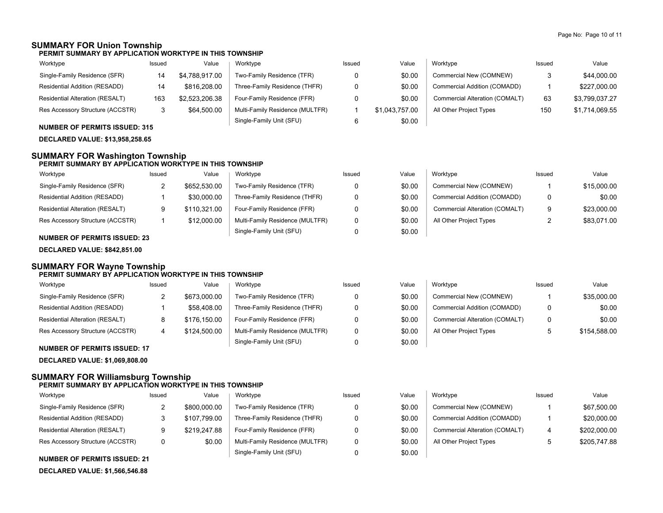## **SUMMARY FOR Union Township**

**PERMIT SUMMARY BY APPLICATION WORKTYPE IN THIS TOWNSHIP**

| Worktype                               | Issued | Value          | Worktype                        | Issued | Value          | Worktype                       | Issued | Value          |
|----------------------------------------|--------|----------------|---------------------------------|--------|----------------|--------------------------------|--------|----------------|
| Single-Family Residence (SFR)          | 14     | \$4.788.917.00 | Two-Family Residence (TFR)      |        | \$0.00         | Commercial New (COMNEW)        |        | \$44,000.00    |
| Residential Addition (RESADD)          | 14     | \$816,208.00   | Three-Family Residence (THFR)   |        | \$0.00         | Commercial Addition (COMADD)   |        | \$227,000.00   |
| <b>Residential Alteration (RESALT)</b> | 163    | \$2,523,206.38 | Four-Family Residence (FFR)     |        | \$0.00         | Commercial Alteration (COMALT) | 63     | \$3,799,037.27 |
| Res Accessory Structure (ACCSTR)       | 3      | \$64,500.00    | Multi-Family Residence (MULTFR) |        | \$1.043.757.00 | All Other Project Types        | 150    | \$1,714,069.55 |
|                                        |        |                | Single-Family Unit (SFU)        |        | \$0.00         |                                |        |                |

### **NUMBER OF PERMITS ISSUED: 315**

**DECLARED VALUE: \$13,958,258.65**

### **SUMMARY FOR Washington Township**

### **PERMIT SUMMARY BY APPLICATION WORKTYPE IN THIS TOWNSHIP**

| Worktype                               | Issued | Value        | Worktype                        | Issued | Value  | Worktype                       | Issued | Value       |
|----------------------------------------|--------|--------------|---------------------------------|--------|--------|--------------------------------|--------|-------------|
| Single-Family Residence (SFR)          | ▃      | \$652.530.00 | Two-Family Residence (TFR)      |        | \$0.00 | Commercial New (COMNEW)        |        | \$15,000.00 |
| Residential Addition (RESADD)          |        | \$30,000.00  | Three-Family Residence (THFR)   |        | \$0.00 | Commercial Addition (COMADD)   | 0      | \$0.00      |
| <b>Residential Alteration (RESALT)</b> |        | \$110.321.00 | Four-Family Residence (FFR)     |        | \$0.00 | Commercial Alteration (COMALT) | 9      | \$23,000.00 |
| Res Accessory Structure (ACCSTR)       |        | \$12,000.00  | Multi-Family Residence (MULTFR) |        | \$0.00 | All Other Project Types        |        | \$83.071.00 |
|                                        |        |              | Single-Family Unit (SFU)        |        | \$0.00 |                                |        |             |

### **NUMBER OF PERMITS ISSUED: 23**

**DECLARED VALUE: \$842,851.00**

#### **SUMMARY FOR Wayne Township PERMIT SUMMARY BY APPLICATION WORKTYPE IN THIS TOWNSHIP**

| Worktype                            | Issued | Value        | Worktype                        | Issued | Value  | Worktype                       | Issued | Value        |
|-------------------------------------|--------|--------------|---------------------------------|--------|--------|--------------------------------|--------|--------------|
| Single-Family Residence (SFR)       |        | \$673,000.00 | Two-Family Residence (TFR)      |        | \$0.00 | Commercial New (COMNEW)        |        | \$35,000.00  |
| Residential Addition (RESADD)       |        | \$58,408.00  | Three-Family Residence (THFR)   |        | \$0.00 | Commercial Addition (COMADD)   | 0      | \$0.00       |
| Residential Alteration (RESALT)     |        | \$176.150.00 | Four-Family Residence (FFR)     |        | \$0.00 | Commercial Alteration (COMALT) |        | \$0.00       |
| Res Accessory Structure (ACCSTR)    |        | \$124,500.00 | Multi-Family Residence (MULTFR) |        | \$0.00 | All Other Project Types        |        | \$154.588.00 |
| <b>NUMBER OF PERMITS ISSUED: 17</b> |        |              | Single-Family Unit (SFU)        |        | \$0.00 |                                |        |              |

**DECLARED VALUE: \$1,069,808.00**

### **SUMMARY FOR Williamsburg Township PERMIT SUMMARY BY APPLICATION WORKTYPE IN THIS TOWNSHIP**

#### Residential Addition (RESADD) Issued Value Issued Value Worktype Issued Value Commercial New (COMNEW) Commercial Addition (COMADD) Commercial Alteration (COMALT) All Other Project Types Single-Family Unit (SFU) Multi-Family Residence (MULTFR) Four-Family Residence (FFR) Three-Family Residence (THFR) Two-Family Residence (TFR) Worktype Res Accessory Structure (ACCSTR) Residential Alteration (RESALT) Single-Family Residence (SFR) Worktype 2 3 9 0 0 0 0 0 0 1 1 4 5 \$800,000.00 \$107,799.00 \$219,247.88 \$0.00 \$0.00 \$0.00 \$0.00 \$0.00 \$0.00 \$67,500.00 \$20,000.00 \$202,000.00 \$205,747.88

**NUMBER OF PERMITS ISSUED: 21**

**DECLARED VALUE: \$1,566,546.88**